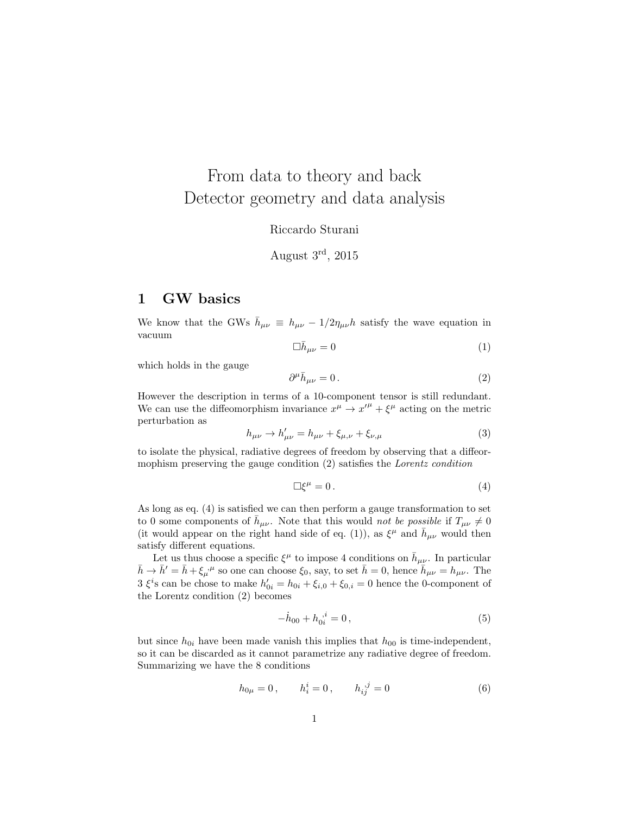# From data to theory and back Detector geometry and data analysis

Riccardo Sturani

August 3rd, 2015

## 1 GW basics

We know that the GWs  $\bar{h}_{\mu\nu} \equiv h_{\mu\nu} - 1/2\eta_{\mu\nu}h$  satisfy the wave equation in vacuum

$$
\Box \bar{h}_{\mu\nu} = 0 \tag{1}
$$

which holds in the gauge

$$
\partial^{\mu}\bar{h}_{\mu\nu} = 0. \tag{2}
$$

However the description in terms of a 10-component tensor is still redundant. We can use the diffeomorphism invariance  $x^{\mu} \rightarrow x'^{\mu} + \xi^{\mu}$  acting on the metric perturbation as

$$
h_{\mu\nu} \to h'_{\mu\nu} = h_{\mu\nu} + \xi_{\mu,\nu} + \xi_{\nu,\mu}
$$
 (3)

to isolate the physical, radiative degrees of freedom by observing that a diffeormophism preserving the gauge condition (2) satisfies the Lorentz condition

$$
\Box \xi^{\mu} = 0. \tag{4}
$$

As long as eq. (4) is satisfied we can then perform a gauge transformation to set to 0 some components of  $\bar{h}_{\mu\nu}$ . Note that this would not be possible if  $T_{\mu\nu} \neq 0$ (it would appear on the right hand side of eq. (1)), as  $\xi^{\mu}$  and  $\bar{h}_{\mu\nu}$  would then satisfy different equations.

Let us thus choose a specific  $\xi^{\mu}$  to impose 4 conditions on  $\bar{h}_{\mu\nu}$ . In particular  $\bar{h} \to \bar{h}' = \bar{h} + \xi_{\mu}^{\ \mu}$  so one can choose  $\xi_0$ , say, to set  $\bar{h} = 0$ , hence  $\bar{h}_{\mu\nu} = h_{\mu\nu}$ . The 3  $\xi$ <sup>i</sup>s can be chose to make  $h'_{0i} = h_{0i} + \xi_{i,0} + \xi_{0,i} = 0$  hence the 0-component of the Lorentz condition (2) becomes

$$
-\dot{h}_{00} + h_{0i}^{\ \ i} = 0 \,, \tag{5}
$$

but since  $h_{0i}$  have been made vanish this implies that  $h_{00}$  is time-independent, so it can be discarded as it cannot parametrize any radiative degree of freedom. Summarizing we have the 8 conditions

$$
h_{0\mu} = 0, \qquad h_i^i = 0, \qquad h_{ij}^{j} = 0 \tag{6}
$$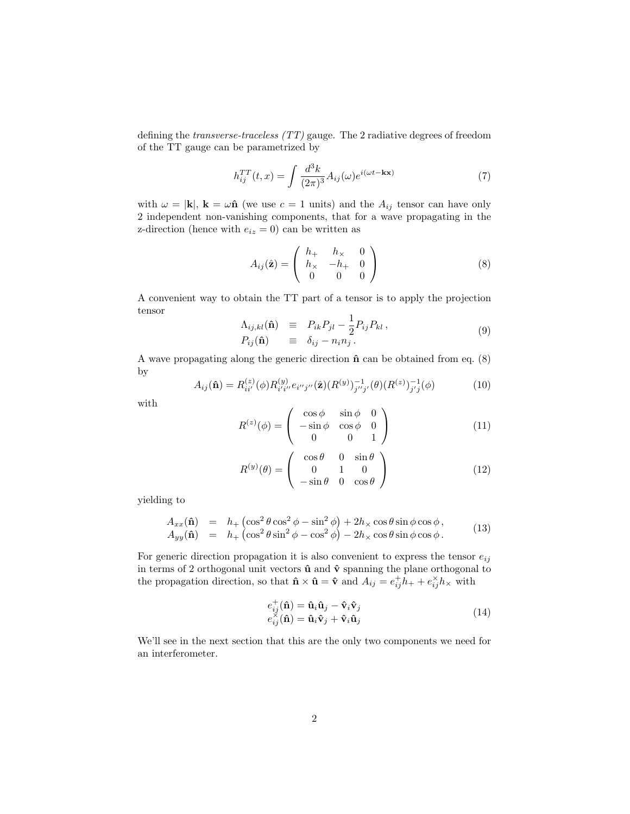defining the transverse-traceless (TT) gauge. The 2 radiative degrees of freedom of the TT gauge can be parametrized by

$$
h_{ij}^{TT}(t,x) = \int \frac{d^3k}{(2\pi)^3} A_{ij}(\omega) e^{i(\omega t - \mathbf{k} \mathbf{x})}
$$
(7)

with  $\omega = |\mathbf{k}|$ ,  $\mathbf{k} = \omega \hat{\mathbf{n}}$  (we use  $c = 1$  units) and the  $A_{ij}$  tensor can have only 2 independent non-vanishing components, that for a wave propagating in the z-direction (hence with  $e_{iz} = 0$ ) can be written as

$$
A_{ij}(\hat{\mathbf{z}}) = \begin{pmatrix} h_+ & h_\times & 0 \\ h_\times & -h_+ & 0 \\ 0 & 0 & 0 \end{pmatrix}
$$
 (8)

A convenient way to obtain the TT part of a tensor is to apply the projection tensor

$$
\Lambda_{ij,kl}(\hat{\mathbf{n}}) \equiv P_{ik}P_{jl} - \frac{1}{2}P_{ij}P_{kl}, \nP_{ij}(\hat{\mathbf{n}}) \equiv \delta_{ij} - n_in_j.
$$
\n(9)

A wave propagating along the generic direction  $\hat{\mathbf{n}}$  can be obtained from eq. (8) by

$$
A_{ij}(\hat{\mathbf{n}}) = R_{ii'}^{(z)}(\phi) R_{i' i''}^{(y)} e_{i'' j''}(\hat{\mathbf{z}}) (R^{(y)})_{j'' j'}^{-1}(\theta) (R^{(z)})_{j' j}^{-1}(\phi)
$$
(10)

with

$$
R^{(z)}(\phi) = \begin{pmatrix} \cos\phi & \sin\phi & 0\\ -\sin\phi & \cos\phi & 0\\ 0 & 0 & 1 \end{pmatrix}
$$
 (11)

$$
R^{(y)}(\theta) = \begin{pmatrix} \cos \theta & 0 & \sin \theta \\ 0 & 1 & 0 \\ -\sin \theta & 0 & \cos \theta \end{pmatrix}
$$
 (12)

yielding to

$$
A_{xx}(\hat{\mathbf{n}}) = h_+\left(\cos^2\theta\cos^2\phi - \sin^2\phi\right) + 2h_\times\cos\theta\sin\phi\cos\phi, A_{yy}(\hat{\mathbf{n}}) = h_+\left(\cos^2\theta\sin^2\phi - \cos^2\phi\right) - 2h_\times\cos\theta\sin\phi\cos\phi.
$$
 (13)

For generic direction propagation it is also convenient to express the tensor  $e_{ij}$ in terms of 2 orthogonal unit vectors  $\hat{\mathbf{u}}$  and  $\hat{\mathbf{v}}$  spanning the plane orthogonal to the propagation direction, so that  $\hat{\mathbf{n}} \times \hat{\mathbf{u}} = \hat{\mathbf{v}}$  and  $A_{ij} = e^+_{ij} h_+ + e^{\times}_{ij} h_{\times}$  with

$$
e_{ij}^{+}(\hat{\mathbf{n}}) = \hat{\mathbf{u}}_i \hat{\mathbf{u}}_j - \hat{\mathbf{v}}_i \hat{\mathbf{v}}_j e_{ij}^{ $\times}(\hat{\mathbf{n}}) = \hat{\mathbf{u}}_i \hat{\mathbf{v}}_j + \hat{\mathbf{v}}_i \hat{\mathbf{u}}_j$ \n(14)
$$

We'll see in the next section that this are the only two components we need for an interferometer.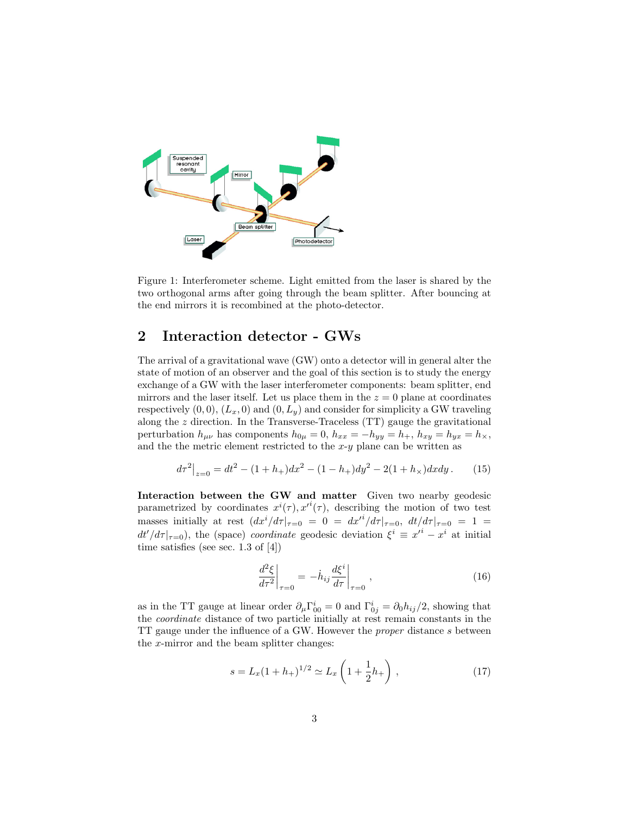

Figure 1: Interferometer scheme. Light emitted from the laser is shared by the two orthogonal arms after going through the beam splitter. After bouncing at the end mirrors it is recombined at the photo-detector.

## 2 Interaction detector - GWs

The arrival of a gravitational wave (GW) onto a detector will in general alter the state of motion of an observer and the goal of this section is to study the energy exchange of a GW with the laser interferometer components: beam splitter, end mirrors and the laser itself. Let us place them in the  $z = 0$  plane at coordinates respectively  $(0, 0)$ ,  $(L_x, 0)$  and  $(0, L_y)$  and consider for simplicity a GW traveling along the z direction. In the Transverse-Traceless (TT) gauge the gravitational perturbation  $h_{\mu\nu}$  has components  $h_{0\mu} = 0$ ,  $h_{xx} = -h_{yy} = h_+$ ,  $h_{xy} = h_{yx} = h_{\times}$ , and the the metric element restricted to the  $x-y$  plane can be written as

$$
d\tau^2|_{z=0} = dt^2 - (1+h_+)dx^2 - (1-h_+)dy^2 - 2(1+h_*)dxdy.
$$
 (15)

Interaction between the GW and matter Given two nearby geodesic parametrized by coordinates  $x^{i}(\tau), x'^{i}(\tau)$ , describing the motion of two test masses initially at rest  $\left(dx^{i}/d\tau\right|_{\tau=0} = 0 = dx'^{i}/d\tau\right|_{\tau=0}$ ,  $dt/d\tau\right|_{\tau=0} = 1$  $dt'/d\tau |_{\tau=0}$ , the (space) *coordinate* geodesic deviation  $\xi^i \equiv x'^i - x^i$  at initial time satisfies (see sec. 1.3 of  $[4]$ )

$$
\left. \frac{d^2 \xi}{d\tau^2} \right|_{\tau=0} = -\dot{h}_{ij} \frac{d\xi^i}{d\tau} \bigg|_{\tau=0} \,, \tag{16}
$$

as in the TT gauge at linear order  $\partial_{\mu} \Gamma_{00}^{i} = 0$  and  $\Gamma_{0j}^{i} = \partial_{0} h_{ij}/2$ , showing that the coordinate distance of two particle initially at rest remain constants in the TT gauge under the influence of a GW. However the proper distance s between the  $x$ -mirror and the beam splitter changes:

$$
s = L_x (1 + h_+)^{1/2} \simeq L_x \left( 1 + \frac{1}{2} h_+ \right) , \qquad (17)
$$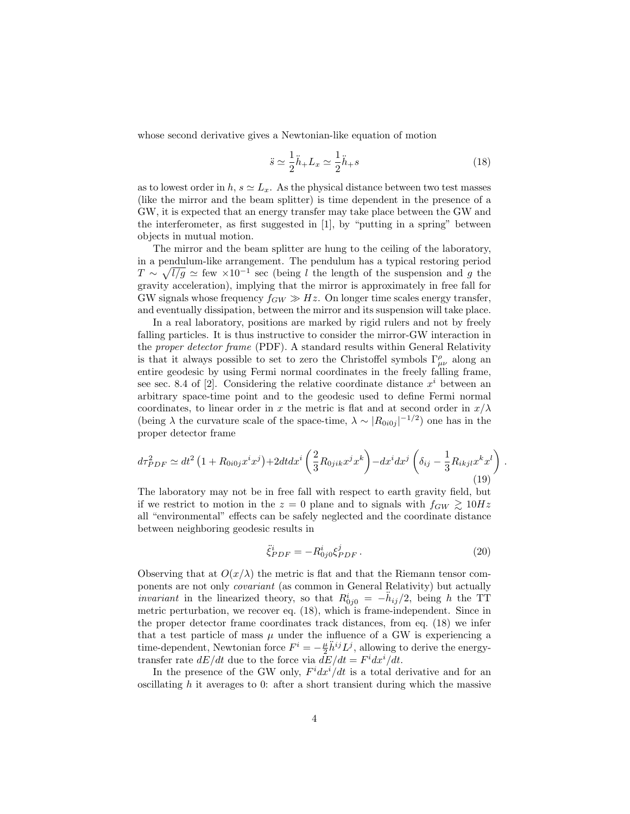whose second derivative gives a Newtonian-like equation of motion

$$
\ddot{s} \simeq \frac{1}{2}\ddot{h}_+ L_x \simeq \frac{1}{2}\ddot{h}_+ s \tag{18}
$$

as to lowest order in  $h, s \simeq L_x$ . As the physical distance between two test masses (like the mirror and the beam splitter) is time dependent in the presence of a GW, it is expected that an energy transfer may take place between the GW and the interferometer, as first suggested in  $[1]$ , by "putting in a spring" between objects in mutual motion.

The mirror and the beam splitter are hung to the ceiling of the laboratory, in a pendulum-like arrangement. The pendulum has a typical restoring period  $T \sim \sqrt{l/g} \simeq \text{few} \times 10^{-1}$  sec (being l the length of the suspension and g the gravity acceleration), implying that the mirror is approximately in free fall for GW signals whose frequency  $f_{GW} \gg Hz$ . On longer time scales energy transfer, and eventually dissipation, between the mirror and its suspension will take place.

In a real laboratory, positions are marked by rigid rulers and not by freely falling particles. It is thus instructive to consider the mirror-GW interaction in the proper detector frame (PDF). A standard results within General Relativity is that it always possible to set to zero the Christoffel symbols  $\Gamma^{\rho}_{\mu\nu}$  along an entire geodesic by using Fermi normal coordinates in the freely falling frame, see sec. 8.4 of [2]. Considering the relative coordinate distance  $x^i$  between an arbitrary space-time point and to the geodesic used to define Fermi normal coordinates, to linear order in x the metric is flat and at second order in  $x/\lambda$ (being  $\lambda$  the curvature scale of the space-time,  $\lambda \sim |R_{0i0j}|^{-1/2}$ ) one has in the proper detector frame

$$
d\tau_{PDF}^2 \simeq dt^2 \left(1 + R_{0i0j} x^i x^j\right) + 2dt dx^i \left(\frac{2}{3} R_{0jik} x^j x^k\right) - dx^i dx^j \left(\delta_{ij} - \frac{1}{3} R_{ikjl} x^k x^l\right)
$$
\n(19)

The laboratory may not be in free fall with respect to earth gravity field, but if we restrict to motion in the  $z = 0$  plane and to signals with  $f_{GW} \ge 10Hz$ all "environmental" effects can be safely neglected and the coordinate distance between neighboring geodesic results in

$$
\ddot{\xi}_{PDF}^{i} = -R_{0j0}^{i}\xi_{PDF}^{j}.
$$
\n(20)

.

Observing that at  $O(x/\lambda)$  the metric is flat and that the Riemann tensor components are not only covariant (as common in General Relativity) but actually *invariant* in the linearized theory, so that  $R_{0j0}^i = -\ddot{h}_{ij}/2$ , being h the TT metric perturbation, we recover eq. (18), which is frame-independent. Since in the proper detector frame coordinates track distances, from eq. (18) we infer that a test particle of mass  $\mu$  under the influence of a GW is experiencing a time-dependent, Newtonian force  $F^i = -\frac{\mu}{2} \ddot{h}^{ij} L^j$ , allowing to derive the energytransfer rate  $dE/dt$  due to the force via  $dE/dt = F^i dx^i/dt$ .

In the presence of the GW only,  $F^i dx^i / dt$  is a total derivative and for an oscillating  $h$  it averages to 0: after a short transient during which the massive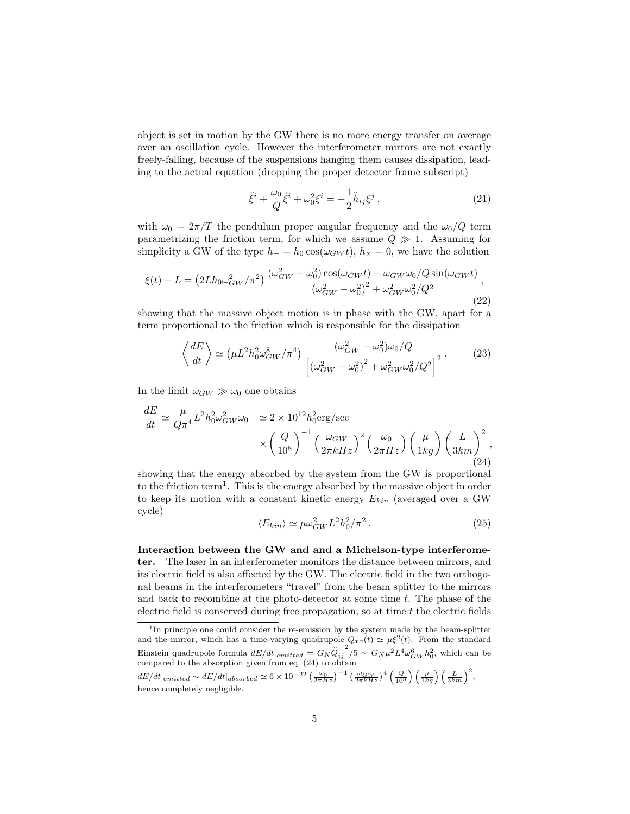object is set in motion by the GW there is no more energy transfer on average over an oscillation cycle. However the interferometer mirrors are not exactly freely-falling, because of the suspensions hanging them causes dissipation, leading to the actual equation (dropping the proper detector frame subscript)

$$
\ddot{\xi}^i + \frac{\omega_0}{Q}\dot{\xi}^i + \omega_0^2 \xi^i = -\frac{1}{2}\ddot{h}_{ij}\xi^j , \qquad (21)
$$

with  $\omega_0 = 2\pi/T$  the pendulum proper angular frequency and the  $\omega_0/Q$  term parametrizing the friction term, for which we assume  $Q \gg 1$ . Assuming for simplicity a GW of the type  $h_+ = h_0 \cos(\omega_{GW} t)$ ,  $h_{\times} = 0$ , we have the solution

$$
\xi(t) - L = \left(2Lh_0\omega_{GW}^2/\pi^2\right) \frac{(\omega_{GW}^2 - \omega_0^2)\cos(\omega_{GW}t) - \omega_{GW}\omega_0/Q\sin(\omega_{GW}t)}{(\omega_{GW}^2 - \omega_0^2)^2 + \omega_{GW}^2\omega_0^2/Q^2},\tag{22}
$$

showing that the massive object motion is in phase with the GW, apart for a term proportional to the friction which is responsible for the dissipation

$$
\left\langle \frac{dE}{dt} \right\rangle \simeq \left( \mu L^2 h_0^2 \omega_{GW}^8 / \pi^4 \right) \frac{(\omega_{GW}^2 - \omega_0^2) \omega_0 / Q}{\left[ \left( \omega_{GW}^2 - \omega_0^2 \right)^2 + \omega_{GW}^2 \omega_0^2 / Q^2 \right]^2} . \tag{23}
$$

In the limit  $\omega_{GW} \gg \omega_0$  one obtains

$$
\frac{dE}{dt} \simeq \frac{\mu}{Q\pi^4} L^2 h_0^2 \omega_{GW}^2 \omega_0 \simeq 2 \times 10^{12} h_0^2 \text{erg/sec}
$$

$$
\times \left(\frac{Q}{10^8}\right)^{-1} \left(\frac{\omega_{GW}}{2\pi kHz}\right)^2 \left(\frac{\omega_0}{2\pi Hz}\right) \left(\frac{\mu}{1kg}\right) \left(\frac{L}{3km}\right)^2,
$$
\n(24)

showing that the energy absorbed by the system from the GW is proportional to the friction term<sup>1</sup>. This is the energy absorbed by the massive object in order to keep its motion with a constant kinetic energy  $E_{kin}$  (averaged over a GW cycle)

$$
\langle E_{kin} \rangle \simeq \mu \omega_{GW}^2 L^2 h_0^2 / \pi^2 \,. \tag{25}
$$

Interaction between the GW and and a Michelson-type interferometer. The laser in an interferometer monitors the distance between mirrors, and its electric field is also affected by the GW. The electric field in the two orthogonal beams in the interferometers "travel" from the beam splitter to the mirrors and back to recombine at the photo-detector at some time t. The phase of the electric field is conserved during free propagation, so at time  $t$  the electric fields

<sup>&</sup>lt;sup>1</sup>In principle one could consider the re-emission by the system made by the beam-splitter and the mirror, which has a time-varying quadrupole  $Q_{xx}(t) \simeq \mu \xi^2(t)$ . From the standard Einstein quadrupole formula  $dE/dt|_{emitted} = G_N \ddot{Q}_{ij}^2/5 \sim G_N \mu^2 L^4 \omega_{GW}^6 h_0^2$ , which can be compared to the absorption given from eq. (24) to obtain

 $dE/dt|_{emitted} \sim dE/dt|_{absorbed} \simeq 6 \times 10^{-22} \left(\frac{\omega_0}{2\pi Hz}\right)^{-1} \left(\frac{\omega_{GW}}{2\pi kHz}\right)^4 \left(\frac{Q}{10^8}\right) \left(\frac{\mu}{1kg}\right) \left(\frac{L}{3km}\right)^2$ hence completely negligible.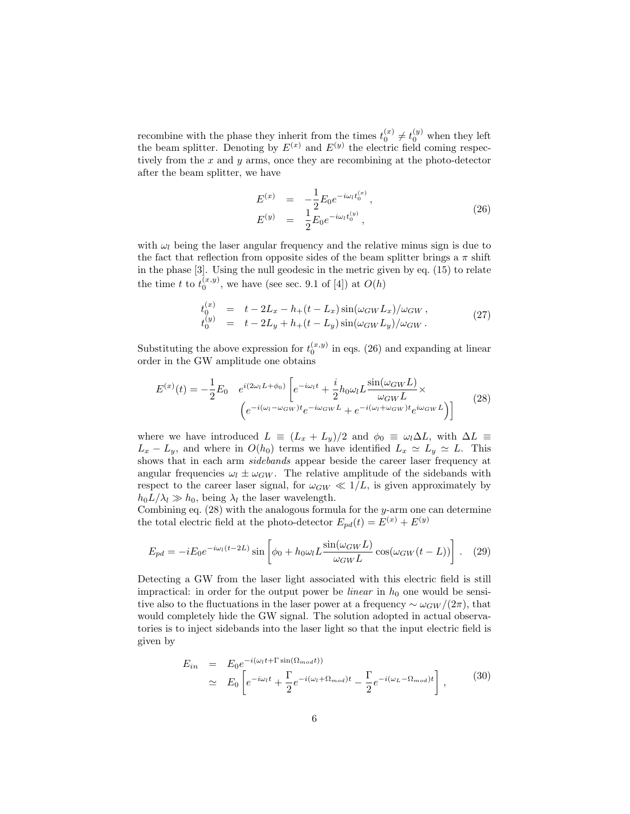recombine with the phase they inherit from the times  $t_0^{(x)} \neq t_0^{(y)}$  when they left the beam splitter. Denoting by  $E^{(x)}$  and  $E^{(y)}$  the electric field coming respectively from the  $x$  and  $y$  arms, once they are recombining at the photo-detector after the beam splitter, we have

$$
E^{(x)} = -\frac{1}{2} E_0 e^{-i\omega_l t_0^{(x)}},
$$
  
\n
$$
E^{(y)} = \frac{1}{2} E_0 e^{-i\omega_l t_0^{(y)}},
$$
\n(26)

with  $\omega_l$  being the laser angular frequency and the relative minus sign is due to the fact that reflection from opposite sides of the beam splitter brings a  $\pi$  shift in the phase [3]. Using the null geodesic in the metric given by eq. (15) to relate the time t to  $t_0^{(x,y)}$ , we have (see sec. 9.1 of [4]) at  $O(h)$ 

$$
t_0^{(x)} = t - 2L_x - h_+(t - L_x)\sin(\omega_{GW}L_x)/\omega_{GW}, \n t_0^{(y)} = t - 2L_y + h_+(t - L_y)\sin(\omega_{GW}L_y)/\omega_{GW}.
$$
\n(27)

Substituting the above expression for  $t_0^{(x,y)}$  in eqs. (26) and expanding at linear order in the GW amplitude one obtains

$$
E^{(x)}(t) = -\frac{1}{2}E_0 \quad e^{i(2\omega_l L + \phi_0)} \left[ e^{-i\omega_l t} + \frac{i}{2}h_0\omega_l L \frac{\sin(\omega_{GW}L)}{\omega_{GW}L} \times \left( e^{-i(\omega_l - \omega_{GW})t} e^{-i\omega_{GW}L} + e^{-i(\omega_l + \omega_{GW})t} e^{i\omega_{GW}L} \right) \right]
$$
(28)

where we have introduced  $L \equiv (L_x + L_y)/2$  and  $\phi_0 \equiv \omega_l \Delta L$ , with  $\Delta L \equiv$  $L_x - L_y$ , and where in  $O(h_0)$  terms we have identified  $L_x \simeq L_y \simeq L$ . This shows that in each arm sidebands appear beside the career laser frequency at angular frequencies  $\omega_l \pm \omega_{GW}$ . The relative amplitude of the sidebands with respect to the career laser signal, for  $\omega_{GW} \ll 1/L$ , is given approximately by  $h_0L/\lambda_l \gg h_0$ , being  $\lambda_l$  the laser wavelength.

Combining eq.  $(28)$  with the analogous formula for the y-arm one can determine the total electric field at the photo-detector  $E_{pd}(t) = E^{(x)} + E^{(y)}$ 

$$
E_{pd} = -iE_0 e^{-i\omega_l(t-2L)} \sin\left[\phi_0 + h_0 \omega_l L \frac{\sin(\omega_{GW} L)}{\omega_{GW} L} \cos(\omega_{GW}(t-L))\right].
$$
 (29)

Detecting a GW from the laser light associated with this electric field is still impractical: in order for the output power be *linear* in  $h_0$  one would be sensitive also to the fluctuations in the laser power at a frequency  $\sim \omega_{GW}/(2\pi)$ , that would completely hide the GW signal. The solution adopted in actual observatories is to inject sidebands into the laser light so that the input electric field is given by

$$
E_{in} = E_0 e^{-i(\omega_l t + \Gamma \sin(\Omega_{mod} t))}
$$
  
\n
$$
\simeq E_0 \left[ e^{-i\omega_l t} + \frac{\Gamma}{2} e^{-i(\omega_l + \Omega_{mod})t} - \frac{\Gamma}{2} e^{-i(\omega_L - \Omega_{mod})t} \right],
$$
\n(30)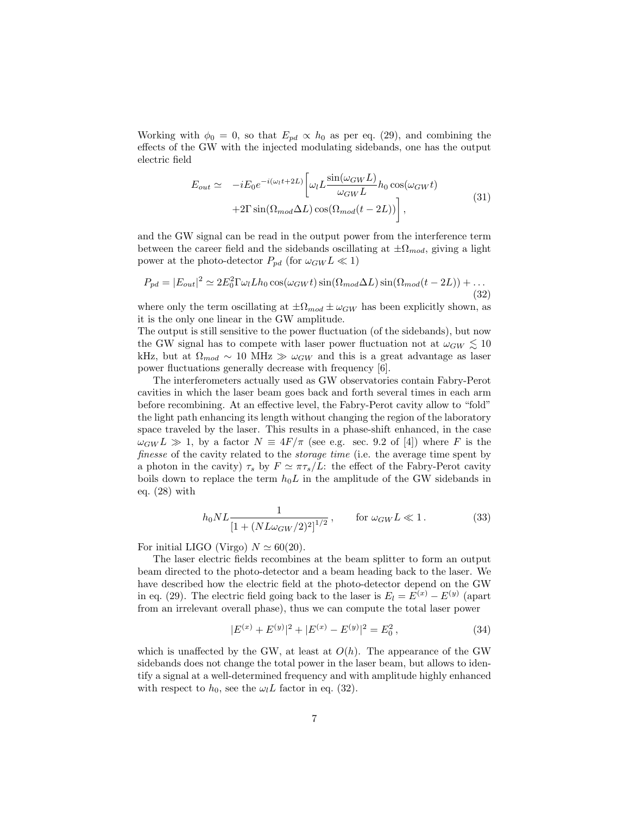Working with  $\phi_0 = 0$ , so that  $E_{pd} \propto h_0$  as per eq. (29), and combining the effects of the GW with the injected modulating sidebands, one has the output electric field

$$
E_{out} \simeq -iE_0 e^{-i(\omega_l t + 2L)} \left[ \omega_l L \frac{\sin(\omega_{GW} L)}{\omega_{GW} L} h_0 \cos(\omega_{GW} t) + 2\Gamma \sin(\Omega_{mod} \Delta L) \cos(\Omega_{mod} (t - 2L)) \right],
$$
\n(31)

and the GW signal can be read in the output power from the interference term between the career field and the sidebands oscillating at  $\pm \Omega_{mod}$ , giving a light power at the photo-detector  $P_{pd}$  (for  $\omega_{GW} L \ll 1$ )

$$
P_{pd} = |E_{out}|^2 \simeq 2E_0^2 \Gamma \omega_l L h_0 \cos(\omega_{GW} t) \sin(\Omega_{mod} \Delta L) \sin(\Omega_{mod} (t - 2L)) + \dots
$$
\n(32)

where only the term oscillating at  $\pm \Omega_{mod} \pm \omega_{GW}$  has been explicitly shown, as it is the only one linear in the GW amplitude.

The output is still sensitive to the power fluctuation (of the sidebands), but now the GW signal has to compete with laser power fluctuation not at  $\omega_{GW} \leq 10$ kHz, but at  $\Omega_{mod} \sim 10 \text{ MHz} \gg \omega_{GW}$  and this is a great advantage as laser power fluctuations generally decrease with frequency [6].

The interferometers actually used as GW observatories contain Fabry-Perot cavities in which the laser beam goes back and forth several times in each arm before recombining. At an effective level, the Fabry-Perot cavity allow to "fold" the light path enhancing its length without changing the region of the laboratory space traveled by the laser. This results in a phase-shift enhanced, in the case  $\omega_{GWL} \gg 1$ , by a factor  $N = 4F/\pi$  (see e.g. sec. 9.2 of [4]) where F is the finesse of the cavity related to the *storage time* (i.e. the average time spent by a photon in the cavity)  $\tau_s$  by  $F \simeq \pi \tau_s/L$ : the effect of the Fabry-Perot cavity boils down to replace the term  $h_0L$  in the amplitude of the GW sidebands in eq. (28) with

$$
h_0NL \frac{1}{\left[1 + (NL\omega_{GW}/2)^2\right]^{1/2}}, \qquad \text{for } \omega_{GW}L \ll 1. \tag{33}
$$

For initial LIGO (Virgo)  $N \simeq 60(20)$ .

The laser electric fields recombines at the beam splitter to form an output beam directed to the photo-detector and a beam heading back to the laser. We have described how the electric field at the photo-detector depend on the GW in eq. (29). The electric field going back to the laser is  $E_l = E^{(x)} - E^{(y)}$  (apart from an irrelevant overall phase), thus we can compute the total laser power

$$
|E^{(x)} + E^{(y)}|^2 + |E^{(x)} - E^{(y)}|^2 = E_0^2,
$$
\n(34)

which is unaffected by the GW, at least at  $O(h)$ . The appearance of the GW sidebands does not change the total power in the laser beam, but allows to identify a signal at a well-determined frequency and with amplitude highly enhanced with respect to  $h_0$ , see the  $\omega_l L$  factor in eq. (32).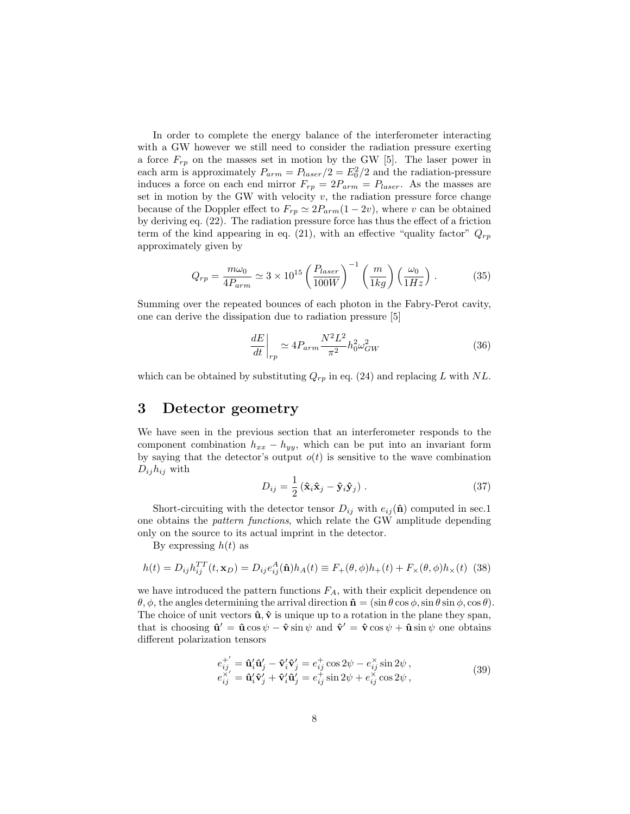In order to complete the energy balance of the interferometer interacting with a GW however we still need to consider the radiation pressure exerting a force  $F_{rp}$  on the masses set in motion by the GW [5]. The laser power in each arm is approximately  $P_{arm} = P_{laser}/2 = E_0^2/2$  and the radiation-pressure induces a force on each end mirror  $F_{rp} = 2P_{arm} = P_{laser}$ . As the masses are set in motion by the GW with velocity  $v$ , the radiation pressure force change because of the Doppler effect to  $F_{rp} \simeq 2P_{arm}(1 - 2v)$ , where v can be obtained by deriving eq. (22). The radiation pressure force has thus the effect of a friction term of the kind appearing in eq. (21), with an effective "quality factor"  $Q_{rp}$ approximately given by

$$
Q_{rp} = \frac{m\omega_0}{4P_{arm}} \simeq 3 \times 10^{15} \left(\frac{P_{laser}}{100W}\right)^{-1} \left(\frac{m}{1kg}\right) \left(\frac{\omega_0}{1Hz}\right) . \tag{35}
$$

Summing over the repeated bounces of each photon in the Fabry-Perot cavity, one can derive the dissipation due to radiation pressure [5]

$$
\left. \frac{dE}{dt} \right|_{rp} \simeq 4P_{arm} \frac{N^2 L^2}{\pi^2} h_0^2 \omega_{GW}^2 \tag{36}
$$

which can be obtained by substituting  $Q_{rp}$  in eq. (24) and replacing L with NL.

#### 3 Detector geometry

We have seen in the previous section that an interferometer responds to the component combination  $h_{xx} - h_{yy}$ , which can be put into an invariant form by saying that the detector's output  $o(t)$  is sensitive to the wave combination  $D_{ij}h_{ij}$  with

$$
D_{ij} = \frac{1}{2} \left( \hat{\mathbf{x}}_i \hat{\mathbf{x}}_j - \hat{\mathbf{y}}_i \hat{\mathbf{y}}_j \right) . \tag{37}
$$

Short-circuiting with the detector tensor  $D_{ij}$  with  $e_{ij}(\hat{\bf{n}})$  computed in sec.1 one obtains the pattern functions, which relate the GW amplitude depending only on the source to its actual imprint in the detector.

By expressing  $h(t)$  as

$$
h(t) = D_{ij}h_{ij}^{TT}(t, \mathbf{x}_D) = D_{ij}e_{ij}^A(\hat{\mathbf{n}})h_A(t) \equiv F_+(\theta, \phi)h_+(t) + F_\times(\theta, \phi)h_\times(t)
$$
 (38)

we have introduced the pattern functions  $F_A$ , with their explicit dependence on  $\theta$ ,  $\phi$ , the angles determining the arrival direction  $\hat{\mathbf{n}} = (\sin \theta \cos \phi, \sin \theta \sin \phi, \cos \theta)$ . The choice of unit vectors  $\hat{\mathbf{u}}, \hat{\mathbf{v}}$  is unique up to a rotation in the plane they span, that is choosing  $\hat{\mathbf{u}}' = \hat{\mathbf{u}} \cos \psi - \hat{\mathbf{v}} \sin \psi$  and  $\hat{\mathbf{v}}' = \hat{\mathbf{v}} \cos \psi + \hat{\mathbf{u}} \sin \psi$  one obtains different polarization tensors

$$
e_{ij}^{+'} = \hat{\mathbf{u}}_i' \hat{\mathbf{u}}_j' - \hat{\mathbf{v}}_i' \hat{\mathbf{v}}_j' = e_{ij}^{\dagger} \cos 2\psi - e_{ij}^{\times} \sin 2\psi, e_{ij}^{\times'} = \hat{\mathbf{u}}_i' \hat{\mathbf{v}}_j' + \hat{\mathbf{v}}_i' \hat{\mathbf{u}}_j' = e_{ij}^{\dagger} \sin 2\psi + e_{ij}^{\times} \cos 2\psi,
$$
\n(39)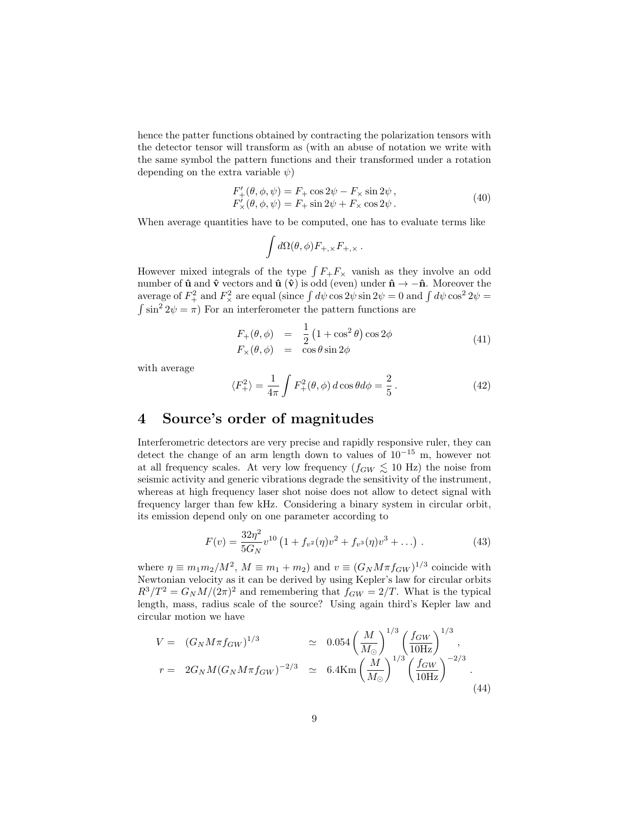hence the patter functions obtained by contracting the polarization tensors with the detector tensor will transform as (with an abuse of notation we write with the same symbol the pattern functions and their transformed under a rotation depending on the extra variable  $\psi$ )

$$
F'_{+}(\theta, \phi, \psi) = F_{+} \cos 2\psi - F_{\times} \sin 2\psi,
$$
  
\n
$$
F'_{\times}(\theta, \phi, \psi) = F_{+} \sin 2\psi + F_{\times} \cos 2\psi.
$$
\n(40)

When average quantities have to be computed, one has to evaluate terms like

$$
\int d\Omega(\theta,\phi) F_{+,\times} F_{+,\times}.
$$

However mixed integrals of the type  $\int F_+F_\times$  vanish as they involve an odd number of  $\hat{\mathbf{u}}$  and  $\hat{\mathbf{v}}$  vectors and  $\hat{\mathbf{u}}$  ( $\hat{\mathbf{v}}$ ) is odd (even) under  $\hat{\mathbf{n}} \to -\hat{\mathbf{n}}$ . Moreover the average of  $F_+^2$  and  $F_\times^2$  are equal (since  $\int d\psi \cos 2\psi \sin 2\psi = 0$  and  $\int d\psi \cos^2 2\psi =$  $\int \sin^2 2\psi = \pi$ ) For an interferometer the pattern functions are

$$
F_{+}(\theta, \phi) = \frac{1}{2} (1 + \cos^{2} \theta) \cos 2\phi
$$
  
\n
$$
F_{\times}(\theta, \phi) = \cos \theta \sin 2\phi
$$
\n(41)

with average

$$
\langle F_+^2 \rangle = \frac{1}{4\pi} \int F_+^2(\theta, \phi) d\cos\theta d\phi = \frac{2}{5}.
$$
 (42)

#### 4 Source's order of magnitudes

Interferometric detectors are very precise and rapidly responsive ruler, they can detect the change of an arm length down to values of 10<sup>−</sup><sup>15</sup> m, however not at all frequency scales. At very low frequency  $(f_{GW} \lesssim 10 \text{ Hz})$  the noise from seismic activity and generic vibrations degrade the sensitivity of the instrument, whereas at high frequency laser shot noise does not allow to detect signal with frequency larger than few kHz. Considering a binary system in circular orbit, its emission depend only on one parameter according to

$$
F(v) = \frac{32\eta^2}{5G_N} v^{10} \left( 1 + f_{v^2}(\eta) v^2 + f_{v^3}(\eta) v^3 + \ldots \right) . \tag{43}
$$

where  $\eta \equiv m_1 m_2 / M^2$ ,  $M \equiv m_1 + m_2$ ) and  $v \equiv (G_N M \pi f_{GW})^{1/3}$  coincide with Newtonian velocity as it can be derived by using Kepler's law for circular orbits  $R^3/T^2 = G_N M/(2\pi)^2$  and remembering that  $f_{GW} = 2/T$ . What is the typical length, mass, radius scale of the source? Using again third's Kepler law and circular motion we have

$$
V = (G_N M \pi f_{GW})^{1/3} \simeq 0.054 \left(\frac{M}{M_{\odot}}\right)^{1/3} \left(\frac{f_{GW}}{10 \text{Hz}}\right)^{1/3},
$$
  
\n
$$
r = 2G_N M (G_N M \pi f_{GW})^{-2/3} \simeq 6.4 \text{Km} \left(\frac{M}{M_{\odot}}\right)^{1/3} \left(\frac{f_{GW}}{10 \text{Hz}}\right)^{-2/3}.
$$
\n(44)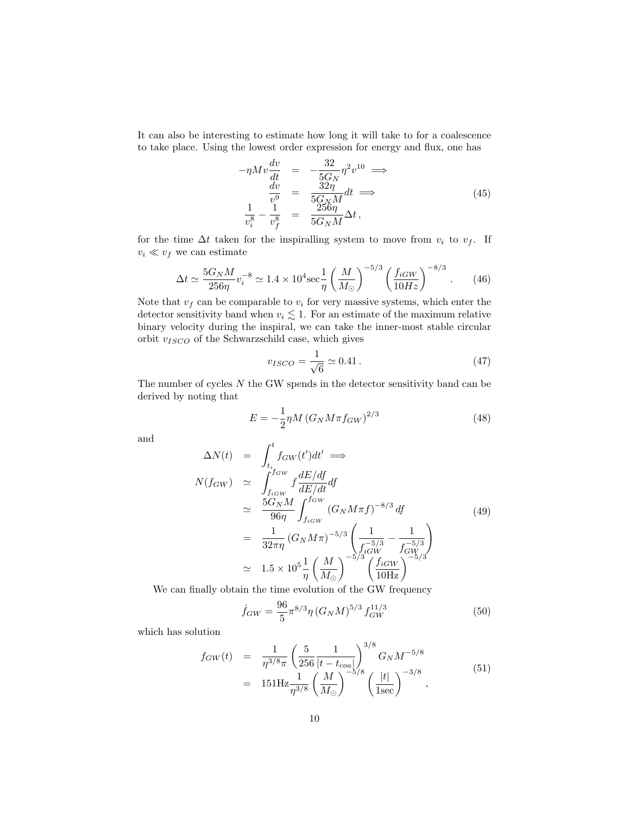It can also be interesting to estimate how long it will take to for a coalescence to take place. Using the lowest order expression for energy and flux, one has

$$
-\eta M v \frac{dv}{dt} = -\frac{32}{5G_N} \eta^2 v^{10} \implies \n\frac{dv}{v^9} = \frac{32\eta}{5G_N M} dt \implies \n\frac{1}{v_i^8} - \frac{1}{v_f^8} = \frac{256\eta}{5G_N M} \Delta t,
$$
\n(45)

for the time  $\Delta t$  taken for the inspiralling system to move from  $v_i$  to  $v_f$ . If  $v_i \ll v_f$  we can estimate

$$
\Delta t \simeq \frac{5G_N M}{256 \eta} v_i^{-8} \simeq 1.4 \times 10^4 \text{sec} \frac{1}{\eta} \left(\frac{M}{M_\odot}\right)^{-5/3} \left(\frac{f_{iGW}}{10Hz}\right)^{-8/3} . \tag{46}
$$

Note that  $v_f$  can be comparable to  $v_i$  for very massive systems, which enter the detector sensitivity band when  $v_i \lesssim 1$ . For an estimate of the maximum relative binary velocity during the inspiral, we can take the inner-most stable circular orbit  $v_{ISCO}$  of the Schwarzschild case, which gives

$$
v_{ISCO} = \frac{1}{\sqrt{6}} \simeq 0.41 \,. \tag{47}
$$

The number of cycles  $N$  the GW spends in the detector sensitivity band can be derived by noting that

$$
E = -\frac{1}{2}\eta M (G_N M \pi f_{GW})^{2/3}
$$
\n(48)

and

$$
\Delta N(t) = \int_{t_i}^{t} f_{GW}(t')dt' \implies
$$
\n
$$
N(f_{GW}) \approx \int_{f_{iGW}}^{f_{GW}} f \frac{dE/df}{dE/dt} df
$$
\n
$$
\approx \frac{5G_N M}{96\eta} \int_{f_{iGW}}^{f_{GW}} (G_N M \pi f)^{-8/3} df
$$
\n
$$
= \frac{1}{32\pi\eta} (G_N M \pi)^{-5/3} \left(\frac{1}{f_{iGW}^{-5/3}} - \frac{1}{f_{GW}^{-5/3}}\right)
$$
\n
$$
\approx 1.5 \times 10^5 \frac{1}{\eta} \left(\frac{M}{M_{\odot}}\right)^{-5/3} \left(\frac{f_{iGW}}{10 \text{Hz}}\right)^{-5/3}
$$
\n(49)

We can finally obtain the time evolution of the GW frequency

$$
\dot{f}_{GW} = \frac{96}{5} \pi^{8/3} \eta \left( G_N M \right)^{5/3} f_{GW}^{11/3} \tag{50}
$$

which has solution

$$
f_{GW}(t) = \frac{1}{\eta^{3/8} \pi} \left( \frac{5}{256} \frac{1}{|t - t_{coa}|} \right)^{3/8} G_N M^{-5/8}
$$
  
= 151 Hz  $\frac{1}{\eta^{3/8}} \left( \frac{M}{M_{\odot}} \right)^{-5/8} \left( \frac{|t|}{1 \text{sec}} \right)^{-3/8},$  (51)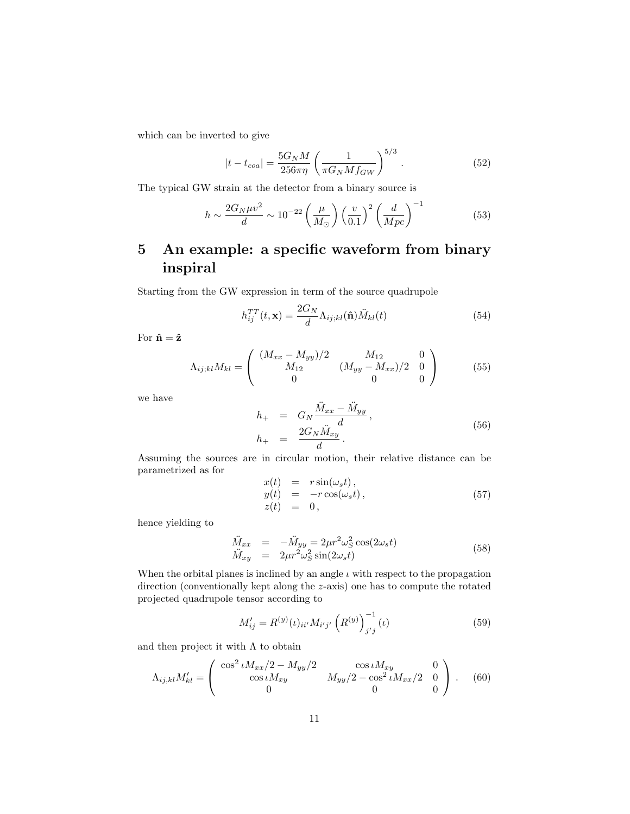which can be inverted to give

$$
|t - t_{coa}| = \frac{5G_N M}{256\pi\eta} \left(\frac{1}{\pi G_N M f_{GW}}\right)^{5/3}.
$$
 (52)

The typical GW strain at the detector from a binary source is

$$
h \sim \frac{2G_N \mu v^2}{d} \sim 10^{-22} \left(\frac{\mu}{M_\odot}\right) \left(\frac{v}{0.1}\right)^2 \left(\frac{d}{Mpc}\right)^{-1} \tag{53}
$$

## 5 An example: a specific waveform from binary inspiral

Starting from the GW expression in term of the source quadrupole

$$
h_{ij}^{TT}(t, \mathbf{x}) = \frac{2G_N}{d} \Lambda_{ij;kl}(\hat{\mathbf{n}}) \ddot{M}_{kl}(t)
$$
\n(54)

For  $\hat{\mathbf{n}}=\hat{\mathbf{z}}$ 

$$
\Lambda_{ij;kl} M_{kl} = \begin{pmatrix} (M_{xx} - M_{yy})/2 & M_{12} & 0\\ M_{12} & (M_{yy} - M_{xx})/2 & 0\\ 0 & 0 & 0 \end{pmatrix}
$$
(55)

xx − M¨

M¨

we have

$$
h_{+} = G_{N} \frac{M_{xx} - M_{yy}}{d}, h_{+} = \frac{2G_{N} \ddot{M}_{xy}}{d}.
$$
 (56)

Assuming the sources are in circular motion, their relative distance can be parametrized as for

$$
x(t) = r \sin(\omega_s t),
$$
  
\n
$$
y(t) = -r \cos(\omega_s t),
$$
  
\n
$$
z(t) = 0,
$$
\n(57)

hence yielding to

$$
\begin{array}{rcl}\n\ddot{M}_{xx} & = & -\ddot{M}_{yy} = 2\mu r^2 \omega_S^2 \cos(2\omega_s t) \\
\ddot{M}_{xy} & = & 2\mu r^2 \omega_S^2 \sin(2\omega_s t)\n\end{array} \tag{58}
$$

When the orbital planes is inclined by an angle  $\iota$  with respect to the propagation direction (conventionally kept along the z-axis) one has to compute the rotated projected quadrupole tensor according to

$$
M'_{ij} = R^{(y)}(\iota)_{ii'} M_{i'j'} \left( R^{(y)} \right)_{j'j}^{-1} (\iota) \tag{59}
$$

and then project it with  $\Lambda$  to obtain

$$
\Lambda_{ij,kl} M'_{kl} = \begin{pmatrix} \cos^2 \iota M_{xx}/2 - M_{yy}/2 & \cos \iota M_{xy} & 0\\ \cos \iota M_{xy} & M_{yy}/2 - \cos^2 \iota M_{xx}/2 & 0\\ 0 & 0 & 0 \end{pmatrix} .
$$
 (60)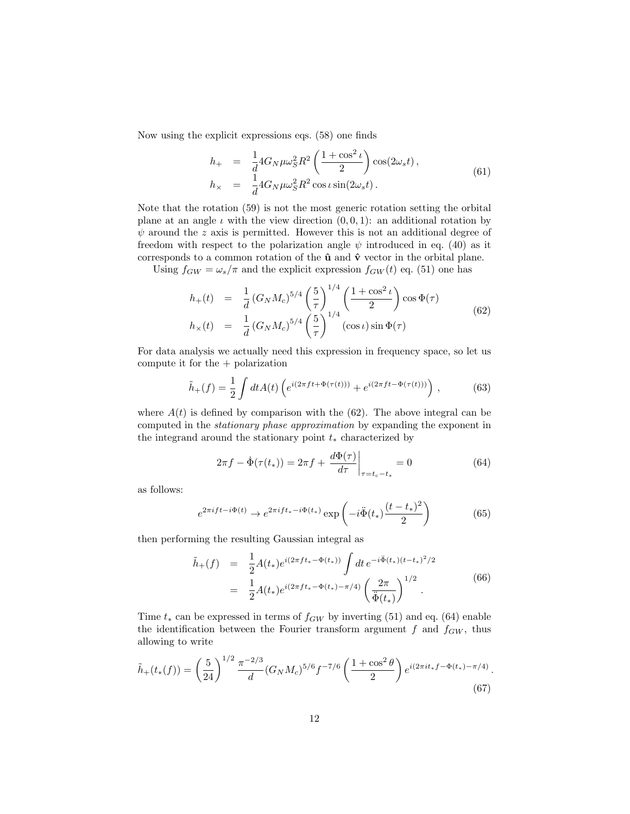Now using the explicit expressions eqs. (58) one finds

$$
h_{+} = \frac{1}{d} 4G_N \mu \omega_S^2 R^2 \left( \frac{1 + \cos^2 \iota}{2} \right) \cos(2\omega_s t),
$$
  
\n
$$
h_{\times} = \frac{1}{d} 4G_N \mu \omega_S^2 R^2 \cos \iota \sin(2\omega_s t).
$$
\n(61)

Note that the rotation (59) is not the most generic rotation setting the orbital plane at an angle  $\iota$  with the view direction  $(0, 0, 1)$ : an additional rotation by  $\psi$  around the z axis is permitted. However this is not an additional degree of freedom with respect to the polarization angle  $\psi$  introduced in eq. (40) as it corresponds to a common rotation of the  $\hat{u}$  and  $\hat{v}$  vector in the orbital plane.

Using  $f_{GW} = \omega_s/\pi$  and the explicit expression  $f_{GW}(t)$  eq. (51) one has

$$
h_{+}(t) = \frac{1}{d} (G_N M_c)^{5/4} \left(\frac{5}{\tau}\right)^{1/4} \left(\frac{1 + \cos^2 \iota}{2}\right) \cos \Phi(\tau)
$$
  
\n
$$
h_{\times}(t) = \frac{1}{d} (G_N M_c)^{5/4} \left(\frac{5}{\tau}\right)^{1/4} (\cos \iota) \sin \Phi(\tau)
$$
 (62)

For data analysis we actually need this expression in frequency space, so let us compute it for the + polarization

$$
\tilde{h}_+(f) = \frac{1}{2} \int dt A(t) \left( e^{i(2\pi ft + \Phi(\tau(t)))} + e^{i(2\pi ft - \Phi(\tau(t)))} \right), \tag{63}
$$

where  $A(t)$  is defined by comparison with the (62). The above integral can be computed in the stationary phase approximation by expanding the exponent in the integrand around the stationary point  $t_*$  characterized by

$$
2\pi f - \dot{\Phi}(\tau(t_*)) = 2\pi f + \left. \frac{d\Phi(\tau)}{d\tau} \right|_{\tau = t_c - t_*} = 0 \tag{64}
$$

as follows:

$$
e^{2\pi i f t - i\Phi(t)} \to e^{2\pi i f t_* - i\Phi(t_*)} \exp\left(-i\ddot{\Phi}(t_*)\frac{(t - t_*)^2}{2}\right) \tag{65}
$$

then performing the resulting Gaussian integral as

$$
\tilde{h}_{+}(f) = \frac{1}{2} A(t_{*}) e^{i(2\pi ft_{*} - \Phi(t_{*}))} \int dt \, e^{-i\tilde{\Phi}(t_{*}) (t - t_{*})^{2}/2} \n= \frac{1}{2} A(t_{*}) e^{i(2\pi ft_{*} - \Phi(t_{*}) - \pi/4)} \left(\frac{2\pi}{\Phi(t_{*})}\right)^{1/2}.
$$
\n(66)

Time  $t_*$  can be expressed in terms of  $f_{GW}$  by inverting (51) and eq. (64) enable the identification between the Fourier transform argument  $f$  and  $f_{GW}$ , thus allowing to write

$$
\tilde{h}_+(t_*(f)) = \left(\frac{5}{24}\right)^{1/2} \frac{\pi^{-2/3}}{d} (G_N M_c)^{5/6} f^{-7/6} \left(\frac{1+\cos^2\theta}{2}\right) e^{i(2\pi i t_* f - \Phi(t_*) - \pi/4)}.
$$
\n(67)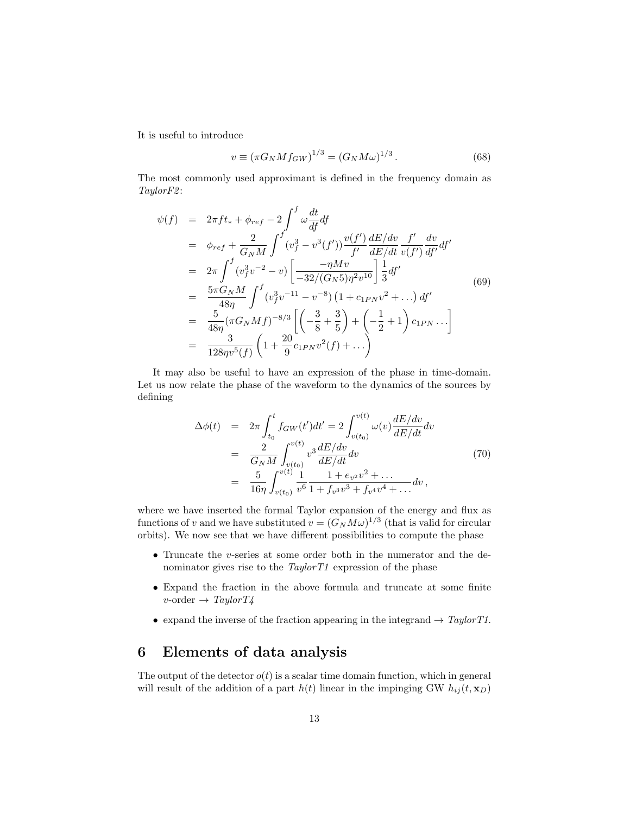It is useful to introduce

$$
v \equiv (\pi G_N M f_{GW})^{1/3} = (G_N M \omega)^{1/3}.
$$
 (68)

The most commonly used approximant is defined in the frequency domain as TaylorF2 :

$$
\psi(f) = 2\pi ft_* + \phi_{ref} - 2 \int^f \omega \frac{dt}{df} df \n= \phi_{ref} + \frac{2}{G_N M} \int^f (v_f^3 - v^3(f')) \frac{v(f')}{f'} \frac{dE/dv}{dE/dt} \frac{f'}{v(f')} \frac{dv}{df'} df' \n= 2\pi \int^f (v_f^3 v^{-2} - v) \left[ \frac{-\eta M v}{-32/(G_N 5)\eta^2 v^{10}} \right] \frac{1}{3} df' \n= \frac{5\pi G_N M}{48\eta} \int^f (v_f^3 v^{-11} - v^{-8}) (1 + c_{1PN} v^2 + ...) df' \n= \frac{5}{48\eta} (\pi G_N M f)^{-8/3} \left[ \left( -\frac{3}{8} + \frac{3}{5} \right) + \left( -\frac{1}{2} + 1 \right) c_{1PN} ... \right] \n= \frac{3}{128\eta v^5(f)} \left( 1 + \frac{20}{9} c_{1PN} v^2(f) + ... \right)
$$
\n(128)

It may also be useful to have an expression of the phase in time-domain. Let us now relate the phase of the waveform to the dynamics of the sources by defining

$$
\Delta\phi(t) = 2\pi \int_{t_0}^t f_{GW}(t')dt' = 2 \int_{v(t_0)}^{v(t)} \omega(v) \frac{dE/dv}{dE/dt} dv \n= \frac{2}{G_N M} \int_{v(t_0)}^{v(t)} v^3 \frac{dE/dv}{dE/dt} dv \n= \frac{5}{16\eta} \int_{v(t_0)}^{v(t)} \frac{1}{v^6} \frac{1 + e_{v^2}v^2 + \dots}{1 + f_{v^3}v^3 + f_{v^4}v^4 + \dots} dv,
$$
\n(70)

where we have inserted the formal Taylor expansion of the energy and flux as functions of v and we have substituted  $v = (G_N M \omega)^{1/3}$  (that is valid for circular orbits). We now see that we have different possibilities to compute the phase

- Truncate the v-series at some order both in the numerator and the denominator gives rise to the  $TaylorT1$  expression of the phase
- Expand the fraction in the above formula and truncate at some finite  $v\text{-order} \rightarrow Taylor T4$
- expand the inverse of the fraction appearing in the integrand  $\rightarrow$  TaylorT1.

## 6 Elements of data analysis

The output of the detector  $o(t)$  is a scalar time domain function, which in general will result of the addition of a part  $h(t)$  linear in the impinging GW  $h_{ij}(t, \mathbf{x}_D)$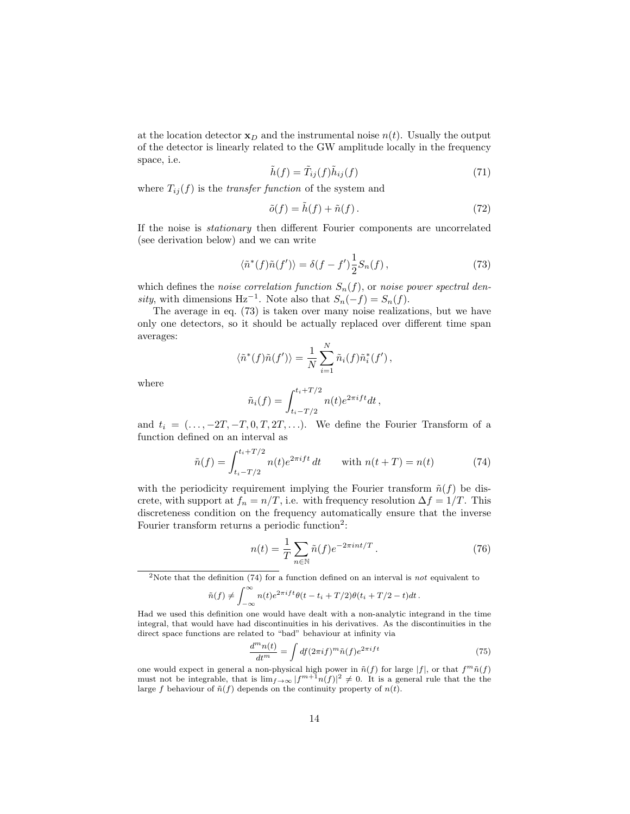at the location detector  $\mathbf{x}_D$  and the instrumental noise  $n(t)$ . Usually the output of the detector is linearly related to the GW amplitude locally in the frequency space, i.e.

$$
\tilde{h}(f) = \tilde{T}_{ij}(f)\tilde{h}_{ij}(f) \tag{71}
$$

where  $T_{ij}(f)$  is the *transfer function* of the system and

$$
\tilde{o}(f) = \tilde{h}(f) + \tilde{n}(f). \tag{72}
$$

If the noise is stationary then different Fourier components are uncorrelated (see derivation below) and we can write

$$
\langle \tilde{n}^*(f)\tilde{n}(f')\rangle = \delta(f - f')\frac{1}{2}S_n(f)\,,\tag{73}
$$

which defines the noise correlation function  $S_n(f)$ , or noise power spectral density, with dimensions Hz<sup>-1</sup>. Note also that  $S_n(-f) = S_n(f)$ .

The average in eq. (73) is taken over many noise realizations, but we have only one detectors, so it should be actually replaced over different time span averages:

$$
\langle \tilde{n}^*(f)\tilde{n}(f')\rangle = \frac{1}{N}\sum_{i=1}^N \tilde{n}_i(f)\tilde{n}_i^*(f'),
$$

where

$$
\tilde{n}_i(f) = \int_{t_i - T/2}^{t_i + T/2} n(t) e^{2\pi i f t} dt,
$$

and  $t_i = (\ldots, -2T, -T, 0, T, 2T, \ldots)$ . We define the Fourier Transform of a function defined on an interval as

$$
\tilde{n}(f) = \int_{t_i - T/2}^{t_i + T/2} n(t)e^{2\pi i f t} dt \quad \text{with } n(t + T) = n(t) \tag{74}
$$

with the periodicity requirement implying the Fourier transform  $\tilde{n}(f)$  be discrete, with support at  $f_n = n/T$ , i.e. with frequency resolution  $\Delta f = 1/T$ . This discreteness condition on the frequency automatically ensure that the inverse Fourier transform returns a periodic function<sup>2</sup>:

$$
n(t) = \frac{1}{T} \sum_{n \in \mathbb{N}} \tilde{n}(f) e^{-2\pi i nt/T} . \tag{76}
$$

<sup>2</sup>Note that the definition (74) for a function defined on an interval is *not* equivalent to

$$
\tilde{n}(f) \neq \int_{-\infty}^{\infty} n(t)e^{2\pi i f t} \theta(t - t_i + T/2) \theta(t_i + T/2 - t) dt.
$$

Had we used this definition one would have dealt with a non-analytic integrand in the time integral, that would have had discontinuities in his derivatives. As the discontinuities in the direct space functions are related to "bad" behaviour at infinity via

$$
\frac{d^m n(t)}{dt^m} = \int df(2\pi i f)^m \tilde{n}(f) e^{2\pi i f t} \tag{75}
$$

one would expect in general a non-physical high power in  $\tilde{n}(f)$  for large  $|f|$ , or that  $f^m\tilde{n}(f)$ must not be integrable, that is  $\lim_{f\to\infty} |f^{m+1}n(f)|^2 \neq 0$ . It is a general rule that the the large f behaviour of  $\tilde{n}(f)$  depends on the continuity property of  $n(t)$ .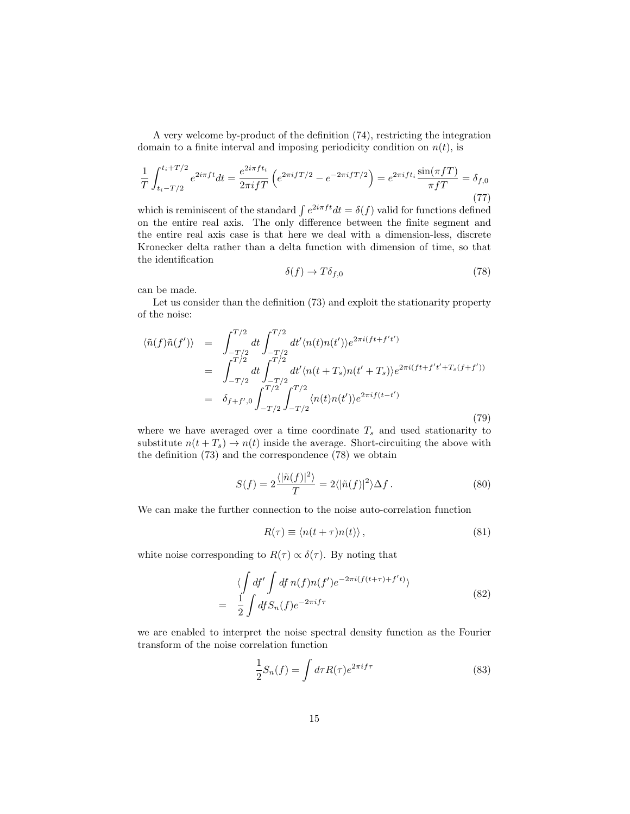A very welcome by-product of the definition (74), restricting the integration domain to a finite interval and imposing periodicity condition on  $n(t)$ , is

$$
\frac{1}{T} \int_{t_i - T/2}^{t_i + T/2} e^{2i\pi ft} dt = \frac{e^{2i\pi ft_i}}{2\pi i fT} \left( e^{2\pi i fT/2} - e^{-2\pi i fT/2} \right) = e^{2\pi i f t_i} \frac{\sin(\pi fT)}{\pi fT} = \delta_{f,0}
$$
\n(77)

which is reminiscent of the standard  $\int e^{2i\pi ft} dt = \delta(f)$  valid for functions defined on the entire real axis. The only difference between the finite segment and the entire real axis case is that here we deal with a dimension-less, discrete Kronecker delta rather than a delta function with dimension of time, so that the identification

$$
\delta(f) \to T\delta_{f,0} \tag{78}
$$

can be made.

Let us consider than the definition (73) and exploit the stationarity property of the noise:

$$
\langle \tilde{n}(f)\tilde{n}(f') \rangle = \int_{-T/2}^{T/2} dt \int_{-T/2}^{T/2} dt' \langle n(t)n(t') \rangle e^{2\pi i (ft + f't')}
$$
  
\n
$$
= \int_{-T/2}^{T/2} dt \int_{-T/2}^{T/2} dt' \langle n(t + T_s)n(t' + T_s) \rangle e^{2\pi i (ft + f't' + T_s(f + f'))}
$$
  
\n
$$
= \delta_{f+f',0} \int_{-T/2}^{T/2} \int_{-T/2}^{T/2} \langle n(t)n(t') \rangle e^{2\pi i f(t - t')}
$$
\n(79)

where we have averaged over a time coordinate  $T_s$  and used stationarity to substitute  $n(t + T_s) \rightarrow n(t)$  inside the average. Short-circuiting the above with the definition (73) and the correspondence (78) we obtain

$$
S(f) = 2\frac{\langle |\tilde{n}(f)|^2 \rangle}{T} = 2\langle |\tilde{n}(f)|^2 \rangle \Delta f. \tag{80}
$$

We can make the further connection to the noise auto-correlation function

$$
R(\tau) \equiv \langle n(t+\tau)n(t) \rangle, \qquad (81)
$$

white noise corresponding to  $R(\tau) \propto \delta(\tau)$ . By noting that

$$
\langle \int df' \int df n(f) n(f') e^{-2\pi i (f(t+\tau) + f' t)} \rangle
$$
  
= 
$$
\frac{1}{2} \int df S_n(f) e^{-2\pi i f \tau}
$$
 (82)

we are enabled to interpret the noise spectral density function as the Fourier transform of the noise correlation function

$$
\frac{1}{2}S_n(f) = \int d\tau R(\tau)e^{2\pi i f \tau}
$$
\n(83)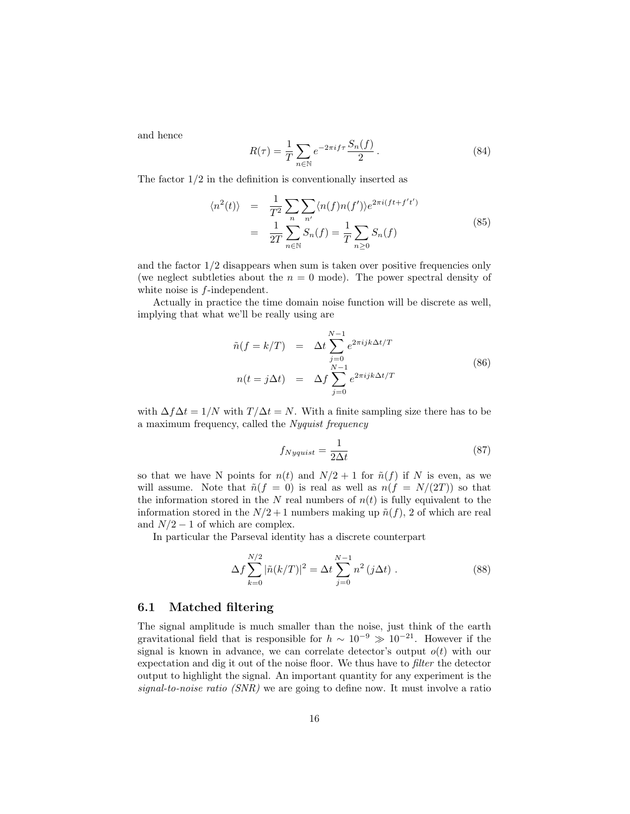and hence

$$
R(\tau) = \frac{1}{T} \sum_{n \in \mathbb{N}} e^{-2\pi i f \tau} \frac{S_n(f)}{2}.
$$
 (84)

The factor  $1/2$  in the definition is conventionally inserted as

$$
\langle n^2(t) \rangle = \frac{1}{T^2} \sum_{n} \sum_{n'} \langle n(f)n(f') \rangle e^{2\pi i (ft + f't')}
$$
  

$$
= \frac{1}{2T} \sum_{n \in \mathbb{N}} S_n(f) = \frac{1}{T} \sum_{n \ge 0} S_n(f)
$$
(85)

and the factor  $1/2$  disappears when sum is taken over positive frequencies only (we neglect subtleties about the  $n = 0$  mode). The power spectral density of white noise is  $f$ -independent.

Actually in practice the time domain noise function will be discrete as well, implying that what we'll be really using are

$$
\tilde{n}(f = k/T) = \Delta t \sum_{j=0}^{N-1} e^{2\pi i j k \Delta t/T}
$$
\n
$$
n(t = j\Delta t) = \Delta f \sum_{j=0}^{N-1} e^{2\pi i j k \Delta t/T}
$$
\n(86)

with  $\Delta f \Delta t = 1/N$  with  $T/\Delta t = N$ . With a finite sampling size there has to be a maximum frequency, called the Nyquist frequency

$$
f_{Nyquist} = \frac{1}{2\Delta t} \tag{87}
$$

so that we have N points for  $n(t)$  and  $N/2 + 1$  for  $\tilde{n}(f)$  if N is even, as we will assume. Note that  $\tilde{n}(f = 0)$  is real as well as  $n(f = N/(2T))$  so that the information stored in the N real numbers of  $n(t)$  is fully equivalent to the information stored in the  $N/2+1$  numbers making up  $\tilde{n}(f)$ , 2 of which are real and  $N/2 - 1$  of which are complex.

In particular the Parseval identity has a discrete counterpart

$$
\Delta f \sum_{k=0}^{N/2} |\tilde{n}(k/T)|^2 = \Delta t \sum_{j=0}^{N-1} n^2 (j\Delta t) . \tag{88}
$$

#### 6.1 Matched filtering

The signal amplitude is much smaller than the noise, just think of the earth gravitational field that is responsible for  $h \sim 10^{-9} \gg 10^{-21}$ . However if the signal is known in advance, we can correlate detector's output  $o(t)$  with our expectation and dig it out of the noise floor. We thus have to filter the detector output to highlight the signal. An important quantity for any experiment is the signal-to-noise ratio (SNR) we are going to define now. It must involve a ratio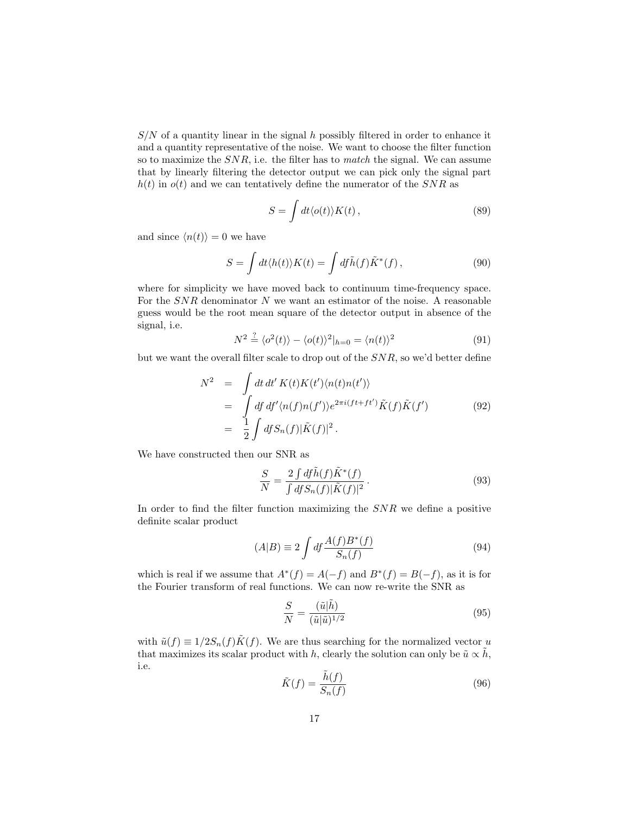$S/N$  of a quantity linear in the signal h possibly filtered in order to enhance it and a quantity representative of the noise. We want to choose the filter function so to maximize the  $SNR$ , i.e. the filter has to match the signal. We can assume that by linearly filtering the detector output we can pick only the signal part  $h(t)$  in  $o(t)$  and we can tentatively define the numerator of the SNR as

$$
S = \int dt \langle o(t) \rangle K(t) , \qquad (89)
$$

and since  $\langle n(t)\rangle = 0$  we have

$$
S = \int dt \langle h(t) \rangle K(t) = \int df \tilde{h}(f) \tilde{K}^*(f) , \qquad (90)
$$

where for simplicity we have moved back to continuum time-frequency space. For the  $SNR$  denominator  $N$  we want an estimator of the noise. A reasonable guess would be the root mean square of the detector output in absence of the signal, i.e.

$$
N^2 \stackrel{?}{=} \langle o^2(t) \rangle - \langle o(t) \rangle^2 |_{h=0} = \langle n(t) \rangle^2 \tag{91}
$$

but we want the overall filter scale to drop out of the SNR, so we'd better define

$$
N^2 = \int dt \, dt' K(t) K(t') \langle n(t)n(t') \rangle
$$
  
= 
$$
\int df \, df' \langle n(f)n(f') \rangle e^{2\pi i (ft + ft')} \tilde{K}(f) \tilde{K}(f')
$$
 (92)  
= 
$$
\frac{1}{2} \int df S_n(f) |\tilde{K}(f)|^2.
$$

We have constructed then our SNR as

$$
\frac{S}{N} = \frac{2 \int df \tilde{h}(f) \tilde{K}^*(f)}{\int df S_n(f) |\tilde{K}(f)|^2}.
$$
\n(93)

In order to find the filter function maximizing the SNR we define a positive definite scalar product

$$
(A|B) \equiv 2 \int df \frac{A(f)B^*(f)}{S_n(f)} \tag{94}
$$

which is real if we assume that  $A^*(f) = A(-f)$  and  $B^*(f) = B(-f)$ , as it is for the Fourier transform of real functions. We can now re-write the SNR as

$$
\frac{S}{N} = \frac{(\tilde{u}|\tilde{h})}{(\tilde{u}|\tilde{u})^{1/2}}\tag{95}
$$

with  $\tilde{u}(f) \equiv 1/2S_n(f)\tilde{K}(f)$ . We are thus searching for the normalized vector u that maximizes its scalar product with h, clearly the solution can only be  $\tilde{u} \propto h$ , i.e.

$$
\tilde{K}(f) = \frac{\tilde{h}(f)}{S_n(f)}\tag{96}
$$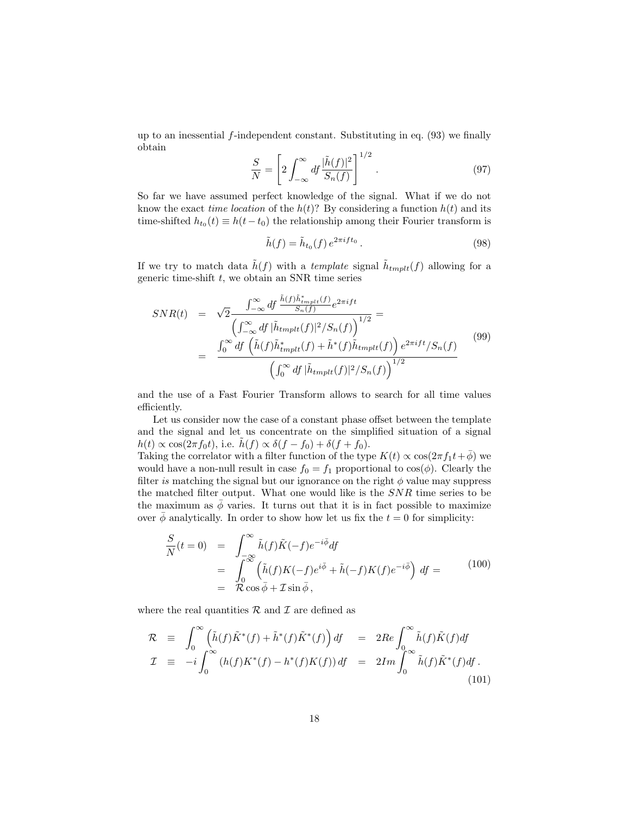up to an inessential  $f$ -independent constant. Substituting in eq.  $(93)$  we finally obtain

$$
\frac{S}{N} = \left[2\int_{-\infty}^{\infty} df \frac{|\tilde{h}(f)|^2}{S_n(f)}\right]^{1/2}.
$$
\n(97)

So far we have assumed perfect knowledge of the signal. What if we do not know the exact *time location* of the  $h(t)$ ? By considering a function  $h(t)$  and its time-shifted  $h_{t_0}(t) \equiv h(t-t_0)$  the relationship among their Fourier transform is

$$
\tilde{h}(f) = \tilde{h}_{t_0}(f) e^{2\pi i f t_0}.
$$
\n(98)

If we try to match data  $\tilde{h}(f)$  with a template signal  $\tilde{h}_{tmplt}(f)$  allowing for a generic time-shift  $t$ , we obtain an SNR time series

$$
SNR(t) = \sqrt{2} \frac{\int_{-\infty}^{\infty} df \frac{\tilde{h}(f)\tilde{h}_{tmplt}^*(f)}{S_n(f)} e^{2\pi i ft}}{\left(\int_{-\infty}^{\infty} df \, |\tilde{h}_{tmplt}(f)|^2 / S_n(f)\right)^{1/2}} =
$$

$$
= \frac{\int_{0}^{\infty} df \left(\tilde{h}(f)\tilde{h}_{tmplt}^*(f) + \tilde{h}^*(f)\tilde{h}_{tmplt}(f)\right) e^{2\pi i ft} / S_n(f)}{\left(\int_{0}^{\infty} df \, |\tilde{h}_{tmplt}(f)|^2 / S_n(f)\right)^{1/2}}
$$
(99)

and the use of a Fast Fourier Transform allows to search for all time values efficiently.

Let us consider now the case of a constant phase offset between the template and the signal and let us concentrate on the simplified situation of a signal  $h(t) \propto \cos(2\pi f_0 t)$ , i.e.  $\tilde{h}(f) \propto \delta(f - f_0) + \delta(f + f_0)$ .

Taking the correlator with a filter function of the type  $K(t) \propto \cos(2\pi f_1 t + \bar{\phi})$  we would have a non-null result in case  $f_0 = f_1$  proportional to  $cos(\phi)$ . Clearly the filter is matching the signal but our ignorance on the right  $\phi$  value may suppress the matched filter output. What one would like is the SNR time series to be the maximum as  $\bar{\phi}$  varies. It turns out that it is in fact possible to maximize over  $\overline{\phi}$  analytically. In order to show how let us fix the  $t = 0$  for simplicity:

$$
\frac{S}{N}(t=0) = \int_{-\infty}^{\infty} \tilde{h}(f)\tilde{K}(-f)e^{-i\bar{\phi}}df
$$
\n
$$
= \int_{0}^{\infty} (\tilde{h}(f)K(-f)e^{i\bar{\phi}} + \tilde{h}(-f)K(f)e^{-i\bar{\phi}}) df =
$$
\n
$$
= \mathcal{R}\cos\bar{\phi} + \mathcal{I}\sin\bar{\phi},
$$
\n(100)

where the real quantities  $\mathcal R$  and  $\mathcal I$  are defined as

$$
\mathcal{R} \equiv \int_0^\infty \left( \tilde{h}(f) \tilde{K}^*(f) + \tilde{h}^*(f) \tilde{K}^*(f) \right) df = 2Re \int_0^\infty \tilde{h}(f) \tilde{K}(f) df
$$
  
\n
$$
\mathcal{I} \equiv -i \int_0^\infty (h(f) K^*(f) - h^*(f) K(f)) df = 2Im \int_0^\infty \tilde{h}(f) \tilde{K}^*(f) df.
$$
\n(101)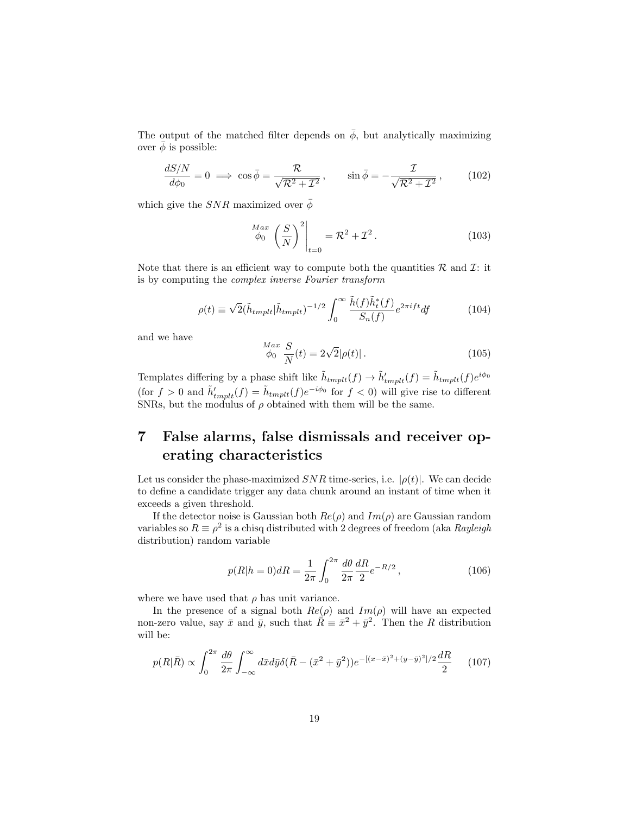The output of the matched filter depends on  $\bar{\phi}$ , but analytically maximizing over  $\bar{\phi}$  is possible:

$$
\frac{dS/N}{d\phi_0} = 0 \implies \cos\bar{\phi} = \frac{\mathcal{R}}{\sqrt{\mathcal{R}^2 + \mathcal{I}^2}}, \qquad \sin\bar{\phi} = -\frac{\mathcal{I}}{\sqrt{\mathcal{R}^2 + \mathcal{I}^2}}, \qquad (102)
$$

which give the  $SNR$  maximized over  $\bar{\phi}$ 

$$
\left. \begin{array}{c} \n\text{Max} \\ \n\phi_0 \left( \frac{S}{N} \right)^2 \big|_{t=0} = \mathcal{R}^2 + \mathcal{I}^2 \,. \n\end{array} \right. \tag{103}
$$

Note that there is an efficient way to compute both the quantities  $\mathcal{R}$  and  $\mathcal{I}$ : it is by computing the complex inverse Fourier transform

$$
\rho(t) \equiv \sqrt{2}(\tilde{h}_{tmplt}|\tilde{h}_{tmplt})^{-1/2} \int_0^\infty \frac{\tilde{h}(f)\tilde{h}_t^*(f)}{S_n(f)} e^{2\pi i f t} df \tag{104}
$$

and we have

$$
\frac{Max}{\phi_0} \frac{S}{N}(t) = 2\sqrt{2}|\rho(t)|.
$$
\n(105)

Templates differing by a phase shift like  $\tilde{h}_{tmplt}(f) \rightarrow \tilde{h}'_{tmplt}(f) = \tilde{h}_{tmplt}(f)e^{i\phi_0}$ (for  $f > 0$  and  $\tilde{h}'_{tmplt}(f) = \tilde{h}_{tmplt}(f)e^{-i\phi_0}$  for  $f < 0$ ) will give rise to different SNRs, but the modulus of  $\rho$  obtained with them will be the same.

## 7 False alarms, false dismissals and receiver operating characteristics

Let us consider the phase-maximized  $SNR$  time-series, i.e.  $|\rho(t)|$ . We can decide to define a candidate trigger any data chunk around an instant of time when it exceeds a given threshold.

If the detector noise is Gaussian both  $Re(\rho)$  and  $Im(\rho)$  are Gaussian random variables so  $R \equiv \rho^2$  is a chisq distributed with 2 degrees of freedom (aka Rayleigh distribution) random variable

$$
p(R|h=0)dR = \frac{1}{2\pi} \int_0^{2\pi} \frac{d\theta}{2\pi} \frac{dR}{2} e^{-R/2},
$$
\n(106)

where we have used that  $\rho$  has unit variance.

In the presence of a signal both  $Re(\rho)$  and  $Im(\rho)$  will have an expected non-zero value, say  $\bar{x}$  and  $\bar{y}$ , such that  $\bar{R} = \bar{x}^2 + \bar{y}^2$ . Then the R distribution will be:

$$
p(R|\bar{R}) \propto \int_0^{2\pi} \frac{d\theta}{2\pi} \int_{-\infty}^{\infty} d\bar{x} d\bar{y} \delta(\bar{R} - (\bar{x}^2 + \bar{y}^2)) e^{-[(x-\bar{x})^2 + (y-\bar{y})^2]/2} \frac{dR}{2}
$$
 (107)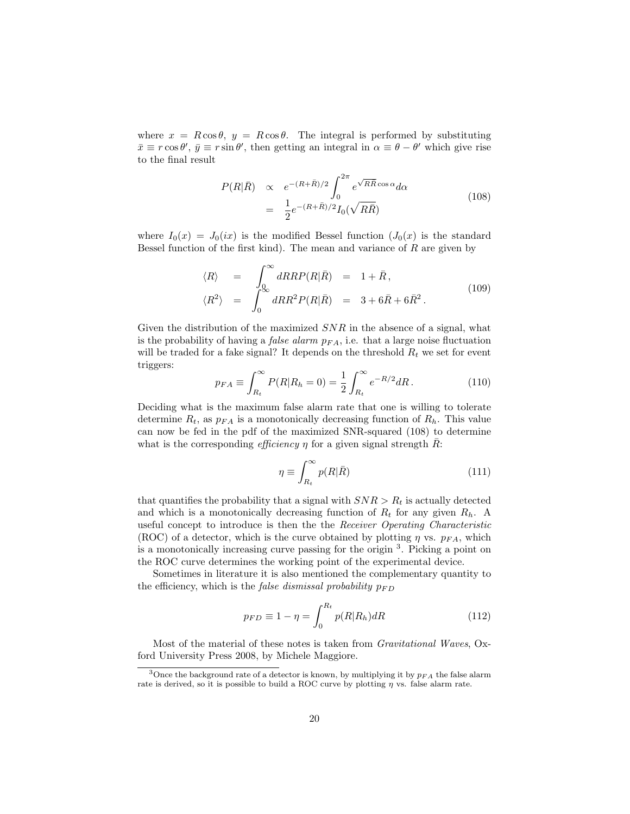where  $x = R \cos \theta$ ,  $y = R \cos \theta$ . The integral is performed by substituting  $\bar{x} \equiv r \cos \theta', \bar{y} \equiv r \sin \theta'$ , then getting an integral in  $\alpha \equiv \theta - \theta'$  which give rise to the final result

$$
P(R|\bar{R}) \propto e^{-(R+\bar{R})/2} \int_0^{2\pi} e^{\sqrt{R\bar{R}}\cos\alpha} d\alpha
$$
  
= 
$$
\frac{1}{2}e^{-(R+\bar{R})/2}I_0(\sqrt{R\bar{R}})
$$
 (108)

where  $I_0(x) = J_0(ix)$  is the modified Bessel function  $(J_0(x))$  is the standard Bessel function of the first kind). The mean and variance of  $R$  are given by

$$
\langle R \rangle = \int_{0}^{\infty} dR R P(R|\bar{R}) = 1 + \bar{R},
$$
  

$$
\langle R^2 \rangle = \int_{0}^{\infty} dR R^2 P(R|\bar{R}) = 3 + 6\bar{R} + 6\bar{R}^2.
$$
 (109)

Given the distribution of the maximized  $SNR$  in the absence of a signal, what is the probability of having a *false alarm*  $p_{FA}$ , i.e. that a large noise fluctuation will be traded for a fake signal? It depends on the threshold  $R_t$  we set for event triggers:

$$
p_{FA} \equiv \int_{R_t}^{\infty} P(R|R_h = 0) = \frac{1}{2} \int_{R_t}^{\infty} e^{-R/2} dR.
$$
 (110)

Deciding what is the maximum false alarm rate that one is willing to tolerate determine  $R_t$ , as  $p_{FA}$  is a monotonically decreasing function of  $R_h$ . This value can now be fed in the pdf of the maximized SNR-squared (108) to determine what is the corresponding *efficiency*  $\eta$  for a given signal strength R:

$$
\eta \equiv \int_{R_t}^{\infty} p(R|\bar{R}) \tag{111}
$$

that quantifies the probability that a signal with  $SNR > R<sub>t</sub>$  is actually detected and which is a monotonically decreasing function of  $R_t$  for any given  $R_h$ . A useful concept to introduce is then the the Receiver Operating Characteristic (ROC) of a detector, which is the curve obtained by plotting  $\eta$  vs.  $p_{FA}$ , which is a monotonically increasing curve passing for the origin <sup>3</sup> . Picking a point on the ROC curve determines the working point of the experimental device.

Sometimes in literature it is also mentioned the complementary quantity to the efficiency, which is the *false dismissal probability*  $p_{FD}$ 

$$
p_{FD} \equiv 1 - \eta = \int_0^{R_t} p(R|R_h) dR \tag{112}
$$

Most of the material of these notes is taken from Gravitational Waves, Oxford University Press 2008, by Michele Maggiore.

<sup>&</sup>lt;sup>3</sup>Once the background rate of a detector is known, by multiplying it by  $p_{FA}$  the false alarm rate is derived, so it is possible to build a ROC curve by plotting  $\eta$  vs. false alarm rate.